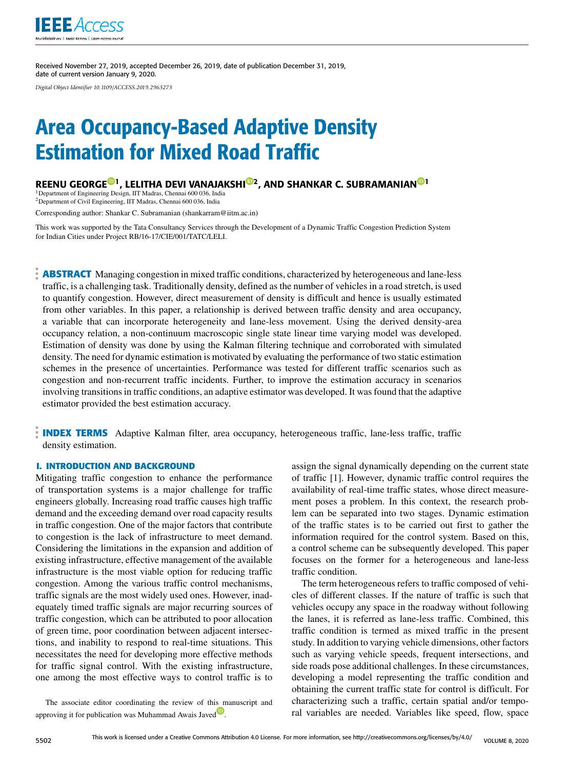

Received November 27, 2019, accepted December 26, 2019, date of publication December 31, 2019, date of current version January 9, 2020.

*Digital Object Identifier 10.1109/ACCESS.2019.2963273*

# Area Occupancy-Based Adaptive Density Estimation for Mixed Road Traffic

REENU GEORGE®<sup>1</sup>, LELITHA DEVI VANAJAKSHI®2, AND SHANKAR C. SUBRAMANIAN®<sup>1</sup>

<sup>1</sup> Department of Engineering Design, IIT Madras, Chennai 600 036, India<br><sup>2</sup> Department of Civil Engineering, IIT Madras, Chennai 600 036, India

Corresponding author: Shankar C. Subramanian (shankarram@iitm.ac.in)

This work was supported by the Tata Consultancy Services through the Development of a Dynamic Traffic Congestion Prediction System for Indian Cities under Project RB/16-17/CIE/001/TATC/LELI.

**ABSTRACT** Managing congestion in mixed traffic conditions, characterized by heterogeneous and lane-less traffic, is a challenging task. Traditionally density, defined as the number of vehicles in a road stretch, is used to quantify congestion. However, direct measurement of density is difficult and hence is usually estimated from other variables. In this paper, a relationship is derived between traffic density and area occupancy, a variable that can incorporate heterogeneity and lane-less movement. Using the derived density-area occupancy relation, a non-continuum macroscopic single state linear time varying model was developed. Estimation of density was done by using the Kalman filtering technique and corroborated with simulated density. The need for dynamic estimation is motivated by evaluating the performance of two static estimation schemes in the presence of uncertainties. Performance was tested for different traffic scenarios such as congestion and non-recurrent traffic incidents. Further, to improve the estimation accuracy in scenarios involving transitions in traffic conditions, an adaptive estimator was developed. It was found that the adaptive estimator provided the best estimation accuracy.

**INDEX TERMS** Adaptive Kalman filter, area occupancy, heterogeneous traffic, lane-less traffic, traffic density estimation.

#### **I. INTRODUCTION AND BACKGROUND**

Mitigating traffic congestion to enhance the performance of transportation systems is a major challenge for traffic engineers globally. Increasing road traffic causes high traffic demand and the exceeding demand over road capacity results in traffic congestion. One of the major factors that contribute to congestion is the lack of infrastructure to meet demand. Considering the limitations in the expansion and addition of existing infrastructure, effective management of the available infrastructure is the most viable option for reducing traffic congestion. Among the various traffic control mechanisms, traffic signals are the most widely used ones. However, inadequately timed traffic signals are major recurring sources of traffic congestion, which can be attributed to poor allocation of green time, poor coordination between adjacent intersections, and inability to respond to real-time situations. This necessitates the need for developing more effective methods for traffic signal control. With the existing infrastructure, one among the most effective ways to control traffic is to

The associate editor coordinating the review of this manuscript and approving it for publication was Muhammad Awais Javed.

assign the signal dynamically depending on the current state of traffic [1]. However, dynamic traffic control requires the availability of real-time traffic states, whose direct measurement poses a problem. In this context, the research problem can be separated into two stages. Dynamic estimation of the traffic states is to be carried out first to gather the information required for the control system. Based on this, a control scheme can be subsequently developed. This paper focuses on the former for a heterogeneous and lane-less traffic condition.

The term heterogeneous refers to traffic composed of vehicles of different classes. If the nature of traffic is such that vehicles occupy any space in the roadway without following the lanes, it is referred as lane-less traffic. Combined, this traffic condition is termed as mixed traffic in the present study. In addition to varying vehicle dimensions, other factors such as varying vehicle speeds, frequent intersections, and side roads pose additional challenges. In these circumstances, developing a model representing the traffic condition and obtaining the current traffic state for control is difficult. For characterizing such a traffic, certain spatial and/or temporal variables are needed. Variables like speed, flow, space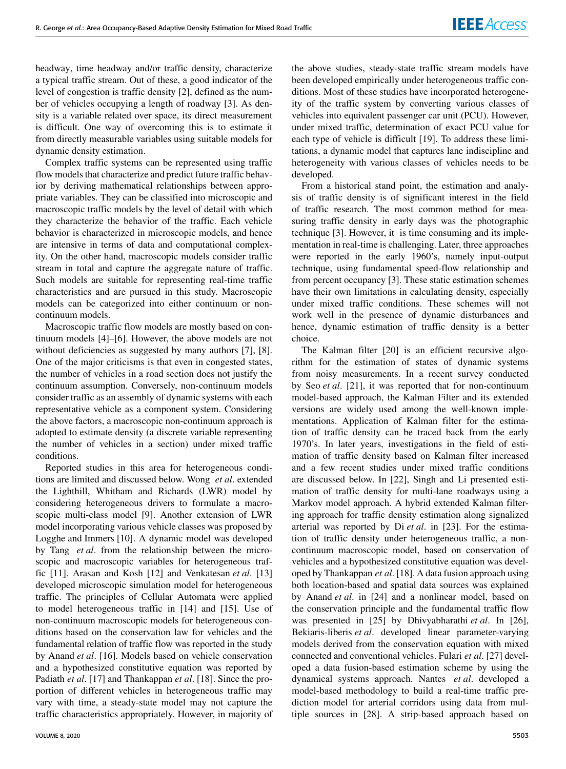headway, time headway and/or traffic density, characterize a typical traffic stream. Out of these, a good indicator of the level of congestion is traffic density [2], defined as the number of vehicles occupying a length of roadway [3]. As density is a variable related over space, its direct measurement is difficult. One way of overcoming this is to estimate it from directly measurable variables using suitable models for dynamic density estimation.

Complex traffic systems can be represented using traffic flow models that characterize and predict future traffic behavior by deriving mathematical relationships between appropriate variables. They can be classified into microscopic and macroscopic traffic models by the level of detail with which they characterize the behavior of the traffic. Each vehicle behavior is characterized in microscopic models, and hence are intensive in terms of data and computational complexity. On the other hand, macroscopic models consider traffic stream in total and capture the aggregate nature of traffic. Such models are suitable for representing real-time traffic characteristics and are pursued in this study. Macroscopic models can be categorized into either continuum or noncontinuum models.

Macroscopic traffic flow models are mostly based on continuum models [4]–[6]. However, the above models are not without deficiencies as suggested by many authors [7], [8]. One of the major criticisms is that even in congested states, the number of vehicles in a road section does not justify the continuum assumption. Conversely, non-continuum models consider traffic as an assembly of dynamic systems with each representative vehicle as a component system. Considering the above factors, a macroscopic non-continuum approach is adopted to estimate density (a discrete variable representing the number of vehicles in a section) under mixed traffic conditions.

Reported studies in this area for heterogeneous conditions are limited and discussed below. Wong *et al*. extended the Lighthill, Whitham and Richards (LWR) model by considering heterogeneous drivers to formulate a macroscopic multi-class model [9]. Another extension of LWR model incorporating various vehicle classes was proposed by Logghe and Immers [10]. A dynamic model was developed by Tang *et al*. from the relationship between the microscopic and macroscopic variables for heterogeneous traffic [11]. Arasan and Kosh [12] and Venkatesan *et al*. [13] developed microscopic simulation model for heterogeneous traffic. The principles of Cellular Automata were applied to model heterogeneous traffic in [14] and [15]. Use of non-continuum macroscopic models for heterogeneous conditions based on the conservation law for vehicles and the fundamental relation of traffic flow was reported in the study by Anand *et al*. [16]. Models based on vehicle conservation and a hypothesized constitutive equation was reported by Padiath *et al*. [17] and Thankappan *et al*. [18]. Since the proportion of different vehicles in heterogeneous traffic may vary with time, a steady-state model may not capture the traffic characteristics appropriately. However, in majority of

the above studies, steady-state traffic stream models have been developed empirically under heterogeneous traffic conditions. Most of these studies have incorporated heterogeneity of the traffic system by converting various classes of vehicles into equivalent passenger car unit (PCU). However, under mixed traffic, determination of exact PCU value for each type of vehicle is difficult [19]. To address these limitations, a dynamic model that captures lane indiscipline and heterogeneity with various classes of vehicles needs to be developed.

From a historical stand point, the estimation and analysis of traffic density is of significant interest in the field of traffic research. The most common method for measuring traffic density in early days was the photographic technique [3]. However, it is time consuming and its implementation in real-time is challenging. Later, three approaches were reported in the early 1960's, namely input-output technique, using fundamental speed-flow relationship and from percent occupancy [3]. These static estimation schemes have their own limitations in calculating density, especially under mixed traffic conditions. These schemes will not work well in the presence of dynamic disturbances and hence, dynamic estimation of traffic density is a better choice.

The Kalman filter [20] is an efficient recursive algorithm for the estimation of states of dynamic systems from noisy measurements. In a recent survey conducted by Seo *et al*. [21], it was reported that for non-continuum model-based approach, the Kalman Filter and its extended versions are widely used among the well-known implementations. Application of Kalman filter for the estimation of traffic density can be traced back from the early 1970's. In later years, investigations in the field of estimation of traffic density based on Kalman filter increased and a few recent studies under mixed traffic conditions are discussed below. In [22], Singh and Li presented estimation of traffic density for multi-lane roadways using a Markov model approach. A hybrid extended Kalman filtering approach for traffic density estimation along signalized arterial was reported by Di *et al*. in [23]. For the estimation of traffic density under heterogeneous traffic, a noncontinuum macroscopic model, based on conservation of vehicles and a hypothesized constitutive equation was developed by Thankappan *et al*. [18]. A data fusion approach using both location-based and spatial data sources was explained by Anand *et al*. in [24] and a nonlinear model, based on the conservation principle and the fundamental traffic flow was presented in [25] by Dhivyabharathi *et al*. In [26], Bekiaris-liberis *et al*. developed linear parameter-varying models derived from the conservation equation with mixed connected and conventional vehicles. Fulari *et al*. [27] developed a data fusion-based estimation scheme by using the dynamical systems approach. Nantes *et al*. developed a model-based methodology to build a real-time traffic prediction model for arterial corridors using data from multiple sources in [28]. A strip-based approach based on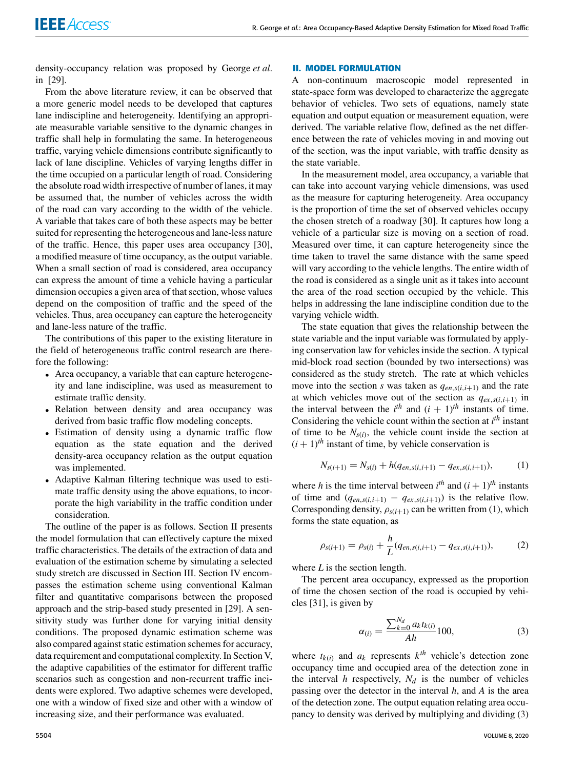density-occupancy relation was proposed by George *et al*. in [29].

From the above literature review, it can be observed that a more generic model needs to be developed that captures lane indiscipline and heterogeneity. Identifying an appropriate measurable variable sensitive to the dynamic changes in traffic shall help in formulating the same. In heterogeneous traffic, varying vehicle dimensions contribute significantly to lack of lane discipline. Vehicles of varying lengths differ in the time occupied on a particular length of road. Considering the absolute road width irrespective of number of lanes, it may be assumed that, the number of vehicles across the width of the road can vary according to the width of the vehicle. A variable that takes care of both these aspects may be better suited for representing the heterogeneous and lane-less nature of the traffic. Hence, this paper uses area occupancy [30], a modified measure of time occupancy, as the output variable. When a small section of road is considered, area occupancy can express the amount of time a vehicle having a particular dimension occupies a given area of that section, whose values depend on the composition of traffic and the speed of the vehicles. Thus, area occupancy can capture the heterogeneity and lane-less nature of the traffic.

The contributions of this paper to the existing literature in the field of heterogeneous traffic control research are therefore the following:

- Area occupancy, a variable that can capture heterogeneity and lane indiscipline, was used as measurement to estimate traffic density.
- Relation between density and area occupancy was derived from basic traffic flow modeling concepts.
- Estimation of density using a dynamic traffic flow equation as the state equation and the derived density-area occupancy relation as the output equation was implemented.
- Adaptive Kalman filtering technique was used to estimate traffic density using the above equations, to incorporate the high variability in the traffic condition under consideration.

The outline of the paper is as follows. Section II presents the model formulation that can effectively capture the mixed traffic characteristics. The details of the extraction of data and evaluation of the estimation scheme by simulating a selected study stretch are discussed in Section III. Section IV encompasses the estimation scheme using conventional Kalman filter and quantitative comparisons between the proposed approach and the strip-based study presented in [29]. A sensitivity study was further done for varying initial density conditions. The proposed dynamic estimation scheme was also compared against static estimation schemes for accuracy, data requirement and computational complexity. In Section V, the adaptive capabilities of the estimator for different traffic scenarios such as congestion and non-recurrent traffic incidents were explored. Two adaptive schemes were developed, one with a window of fixed size and other with a window of increasing size, and their performance was evaluated.

### **II. MODEL FORMULATION**

A non-continuum macroscopic model represented in state-space form was developed to characterize the aggregate behavior of vehicles. Two sets of equations, namely state equation and output equation or measurement equation, were derived. The variable relative flow, defined as the net difference between the rate of vehicles moving in and moving out of the section, was the input variable, with traffic density as the state variable.

In the measurement model, area occupancy, a variable that can take into account varying vehicle dimensions, was used as the measure for capturing heterogeneity. Area occupancy is the proportion of time the set of observed vehicles occupy the chosen stretch of a roadway [30]. It captures how long a vehicle of a particular size is moving on a section of road. Measured over time, it can capture heterogeneity since the time taken to travel the same distance with the same speed will vary according to the vehicle lengths. The entire width of the road is considered as a single unit as it takes into account the area of the road section occupied by the vehicle. This helps in addressing the lane indiscipline condition due to the varying vehicle width.

The state equation that gives the relationship between the state variable and the input variable was formulated by applying conservation law for vehicles inside the section. A typical mid-block road section (bounded by two intersections) was considered as the study stretch. The rate at which vehicles move into the section *s* was taken as  $q_{en,s(i,i+1)}$  and the rate at which vehicles move out of the section as  $q_{ex,s(i,i+1)}$  in the interval between the  $i^{th}$  and  $(i + 1)^{th}$  instants of time. Considering the vehicle count within the section at *i*<sup>th</sup> instant of time to be  $N_{s(i)}$ , the vehicle count inside the section at  $(i + 1)$ <sup>th</sup> instant of time, by vehicle conservation is

$$
N_{s(i+1)} = N_{s(i)} + h(q_{en,s(i,i+1)} - q_{ex,s(i,i+1)}),
$$
 (1)

where *h* is the time interval between  $i^{th}$  and  $(i + 1)^{th}$  instants of time and  $(q_{en,s(i,i+1)} - q_{ex,s(i,i+1)})$  is the relative flow. Corresponding density,  $\rho_{s(i+1)}$  can be written from (1), which forms the state equation, as

$$
\rho_{s(i+1)} = \rho_{s(i)} + \frac{h}{L}(q_{en,s(i,i+1)} - q_{ex,s(i,i+1)}),
$$
 (2)

where *L* is the section length.

The percent area occupancy, expressed as the proportion of time the chosen section of the road is occupied by vehicles [31], is given by

$$
\alpha_{(i)} = \frac{\sum_{k=0}^{N_d} a_k t_{k(i)}}{Ah} 100,
$$
\n(3)

where  $t_{k(i)}$  and  $a_k$  represents  $k^{th}$  vehicle's detection zone occupancy time and occupied area of the detection zone in the interval  $h$  respectively,  $N_d$  is the number of vehicles passing over the detector in the interval *h*, and *A* is the area of the detection zone. The output equation relating area occupancy to density was derived by multiplying and dividing (3)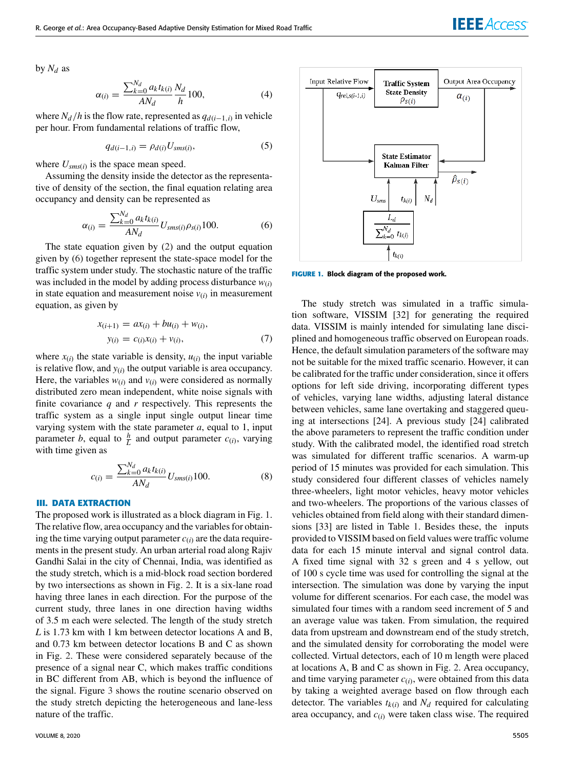by  $N_d$  as

$$
\alpha_{(i)} = \frac{\sum_{k=0}^{N_d} a_k t_{k(i)}}{AN_d} \frac{N_d}{h} 100,
$$
\n(4)

where  $N_d/h$  is the flow rate, represented as  $q_{d(i-1,i)}$  in vehicle per hour. From fundamental relations of traffic flow,

$$
q_{d(i-1,i)} = \rho_{d(i)} U_{sms(i)},\tag{5}
$$

where  $U_{sms(i)}$  is the space mean speed.

Assuming the density inside the detector as the representative of density of the section, the final equation relating area occupancy and density can be represented as

$$
\alpha_{(i)} = \frac{\sum_{k=0}^{N_d} a_k t_{k(i)}}{AN_d} U_{sms(i)} \rho_{s(i)} 100.
$$
 (6)

The state equation given by (2) and the output equation given by (6) together represent the state-space model for the traffic system under study. The stochastic nature of the traffic was included in the model by adding process disturbance  $w(i)$ in state equation and measurement noise  $v_{(i)}$  in measurement equation, as given by

$$
x_{(i+1)} = ax_{(i)} + bu_{(i)} + w_{(i)},
$$
  
\n
$$
y_{(i)} = c_{(i)}x_{(i)} + v_{(i)},
$$
\n(7)

where  $x_{(i)}$  the state variable is density,  $u_{(i)}$  the input variable is relative flow, and  $y_{(i)}$  the output variable is area occupancy. Here, the variables  $w(i)$  and  $v(i)$  were considered as normally distributed zero mean independent, white noise signals with finite covariance *q* and *r* respectively. This represents the traffic system as a single input single output linear time varying system with the state parameter *a*, equal to 1, input parameter *b*, equal to  $\frac{h}{L}$  and output parameter  $c_{(i)}$ , varying with time given as

$$
c_{(i)} = \frac{\sum_{k=0}^{N_d} a_k t_{k(i)}}{AN_d} U_{sms(i)} 100.
$$
 (8)

#### **III. DATA EXTRACTION**

The proposed work is illustrated as a block diagram in Fig. 1. The relative flow, area occupancy and the variables for obtaining the time varying output parameter  $c(i)$  are the data requirements in the present study. An urban arterial road along Rajiv Gandhi Salai in the city of Chennai, India, was identified as the study stretch, which is a mid-block road section bordered by two intersections as shown in Fig. 2. It is a six-lane road having three lanes in each direction. For the purpose of the current study, three lanes in one direction having widths of 3.5 m each were selected. The length of the study stretch *L* is 1.73 km with 1 km between detector locations A and B, and 0.73 km between detector locations B and C as shown in Fig. 2. These were considered separately because of the presence of a signal near C, which makes traffic conditions in BC different from AB, which is beyond the influence of the signal. Figure 3 shows the routine scenario observed on the study stretch depicting the heterogeneous and lane-less nature of the traffic.



**FIGURE 1.** Block diagram of the proposed work.

The study stretch was simulated in a traffic simulation software, VISSIM [32] for generating the required data. VISSIM is mainly intended for simulating lane disciplined and homogeneous traffic observed on European roads. Hence, the default simulation parameters of the software may not be suitable for the mixed traffic scenario. However, it can be calibrated for the traffic under consideration, since it offers options for left side driving, incorporating different types of vehicles, varying lane widths, adjusting lateral distance between vehicles, same lane overtaking and staggered queuing at intersections [24]. A previous study [24] calibrated the above parameters to represent the traffic condition under study. With the calibrated model, the identified road stretch was simulated for different traffic scenarios. A warm-up period of 15 minutes was provided for each simulation. This study considered four different classes of vehicles namely three-wheelers, light motor vehicles, heavy motor vehicles and two-wheelers. The proportions of the various classes of vehicles obtained from field along with their standard dimensions [33] are listed in Table 1. Besides these, the inputs provided to VISSIM based on field values were traffic volume data for each 15 minute interval and signal control data. A fixed time signal with 32 s green and 4 s yellow, out of 100 s cycle time was used for controlling the signal at the intersection. The simulation was done by varying the input volume for different scenarios. For each case, the model was simulated four times with a random seed increment of 5 and an average value was taken. From simulation, the required data from upstream and downstream end of the study stretch, and the simulated density for corroborating the model were collected. Virtual detectors, each of 10 m length were placed at locations A, B and C as shown in Fig. 2. Area occupancy, and time varying parameter  $c_{(i)}$ , were obtained from this data by taking a weighted average based on flow through each detector. The variables  $t_{k(i)}$  and  $N_d$  required for calculating area occupancy, and *c*(*i*) were taken class wise. The required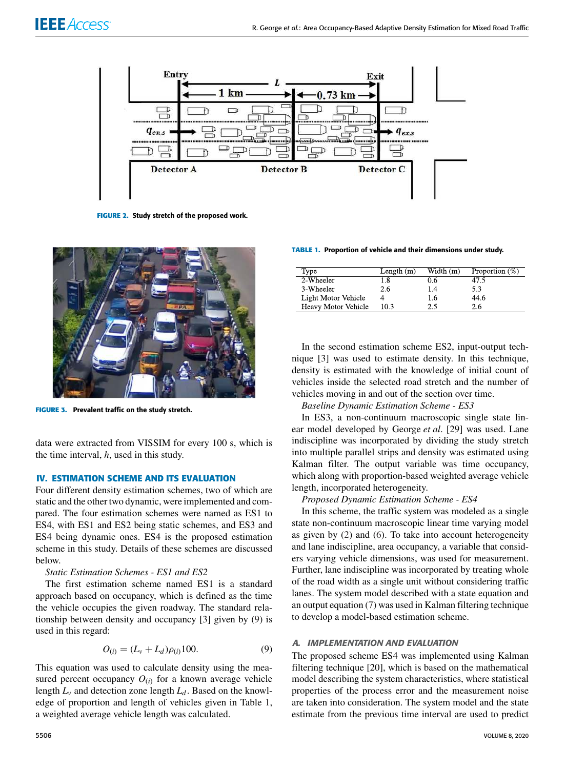

**FIGURE 2.** Study stretch of the proposed work.



**FIGURE 3.** Prevalent traffic on the study stretch.

data were extracted from VISSIM for every 100 s, which is the time interval, *h*, used in this study.

## **IV. ESTIMATION SCHEME AND ITS EVALUATION**

Four different density estimation schemes, two of which are static and the other two dynamic, were implemented and compared. The four estimation schemes were named as ES1 to ES4, with ES1 and ES2 being static schemes, and ES3 and ES4 being dynamic ones. ES4 is the proposed estimation scheme in this study. Details of these schemes are discussed below.

## *Static Estimation Schemes - ES1 and ES2*

The first estimation scheme named ES1 is a standard approach based on occupancy, which is defined as the time the vehicle occupies the given roadway. The standard relationship between density and occupancy [3] given by (9) is used in this regard:

$$
O_{(i)} = (L_v + L_d)\rho_{(i)}100.
$$
 (9)

This equation was used to calculate density using the measured percent occupancy  $O(i)$  for a known average vehicle length  $L_v$  and detection zone length  $L_d$ . Based on the knowledge of proportion and length of vehicles given in Table 1, a weighted average vehicle length was calculated.

#### **TABLE 1.** Proportion of vehicle and their dimensions under study.

| Type                | Length $(m)$ | Width $(m)$ | Proportion $(\%)$ |
|---------------------|--------------|-------------|-------------------|
| 2-Wheeler           | 1.8          | 0.6         | 47.5              |
| 3-Wheeler           | 2.6          | 1.4         | 5.3               |
| Light Motor Vehicle |              | 1.6         | 44.6              |
| Heavy Motor Vehicle | 10.3         | 2.5         | 26.               |

In the second estimation scheme ES2, input-output technique [3] was used to estimate density. In this technique, density is estimated with the knowledge of initial count of vehicles inside the selected road stretch and the number of vehicles moving in and out of the section over time.

### *Baseline Dynamic Estimation Scheme - ES3*

In ES3, a non-continuum macroscopic single state linear model developed by George *et al*. [29] was used. Lane indiscipline was incorporated by dividing the study stretch into multiple parallel strips and density was estimated using Kalman filter. The output variable was time occupancy, which along with proportion-based weighted average vehicle length, incorporated heterogeneity.

#### *Proposed Dynamic Estimation Scheme - ES4*

In this scheme, the traffic system was modeled as a single state non-continuum macroscopic linear time varying model as given by (2) and (6). To take into account heterogeneity and lane indiscipline, area occupancy, a variable that considers varying vehicle dimensions, was used for measurement. Further, lane indiscipline was incorporated by treating whole of the road width as a single unit without considering traffic lanes. The system model described with a state equation and an output equation (7) was used in Kalman filtering technique to develop a model-based estimation scheme.

#### A. IMPLEMENTATION AND EVALUATION

The proposed scheme ES4 was implemented using Kalman filtering technique [20], which is based on the mathematical model describing the system characteristics, where statistical properties of the process error and the measurement noise are taken into consideration. The system model and the state estimate from the previous time interval are used to predict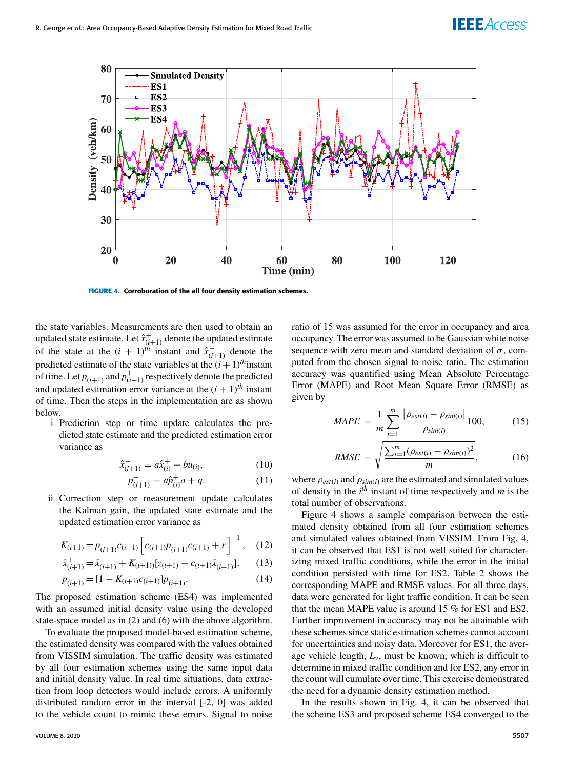

**FIGURE 4.** Corroboration of the all four density estimation schemes.

the state variables. Measurements are then used to obtain an updated state estimate. Let  $\hat{x}^+_{(i+1)}$  denote the updated estimate of the state at the  $(i + 1)$ <sup>th</sup> instant and  $\hat{x}_{(i+1)}^-$  denote the predicted estimate of the state variables at the  $(i + 1)$ <sup>th</sup>instant of time. Let  $p_{(i+1)}^-$  and  $p_{(i+1)}^+$  respectively denote the predicted and updated estimation error variance at the  $(i + 1)$ <sup>th</sup> instant of time. Then the steps in the implementation are as shown below.

i Prediction step or time update calculates the predicted state estimate and the predicted estimation error variance as

$$
\hat{x}_{(i+1)}^- = a\hat{x}_{(i)}^+ + bu_{(i)},\tag{10}
$$

$$
p_{(i+1)}^- = a\hat{p}_{(i)}^+ a + q. \tag{11}
$$

ii Correction step or measurement update calculates the Kalman gain, the updated state estimate and the updated estimation error variance as

$$
K_{(i+1)} = p_{(i+1)}^- c_{(i+1)} \left[ c_{(i+1)} p_{(i+1)}^- c_{(i+1)} + r \right]^{-1}, \quad (12)
$$

$$
\hat{x}_{(i+1)}^+ = \hat{x}_{(i+1)}^- + K_{(i+1)} [z_{(i+1)} - c_{(i+1)} \hat{x}_{(i+1)}^-],
$$
 (13)

$$
p_{(i+1)}^{+} = [1 - K_{(i+1)}c_{(i+1)}]p_{(i+1)}^{-}.
$$
\n(14)

The proposed estimation scheme (ES4) was implemented with an assumed initial density value using the developed state-space model as in (2) and (6) with the above algorithm.

To evaluate the proposed model-based estimation scheme, the estimated density was compared with the values obtained from VISSIM simulation. The traffic density was estimated by all four estimation schemes using the same input data and initial density value. In real time situations, data extraction from loop detectors would include errors. A uniformly distributed random error in the interval [-2, 0] was added to the vehicle count to mimic these errors. Signal to noise ratio of 15 was assumed for the error in occupancy and area occupancy. The error was assumed to be Gaussian white noise sequence with zero mean and standard deviation of  $\sigma$ , computed from the chosen signal to noise ratio. The estimation accuracy was quantified using Mean Absolute Percentage Error (MAPE) and Root Mean Square Error (RMSE) as given by

$$
MAPE = \frac{1}{m} \sum_{i=1}^{m} \frac{\left| \rho_{est(i)} - \rho_{sim(i)} \right|}{\rho_{sim(i)}} 100, \tag{15}
$$

RMSE = 
$$
\sqrt{\frac{\sum_{i=1}^{m} (\rho_{est(i)} - \rho_{sim(i)})^2}{m}}
$$
, (16)

where  $\rho_{est(i)}$  and  $\rho_{sim(i)}$  are the estimated and simulated values of density in the *i th* instant of time respectively and *m* is the total number of observations.

Figure 4 shows a sample comparison between the estimated density obtained from all four estimation schemes and simulated values obtained from VISSIM. From Fig. 4, it can be observed that ES1 is not well suited for characterizing mixed traffic conditions, while the error in the initial condition persisted with time for ES2. Table 2 shows the corresponding MAPE and RMSE values. For all three days, data were generated for light traffic condition. It can be seen that the mean MAPE value is around 15 % for ES1 and ES2. Further improvement in accuracy may not be attainable with these schemes since static estimation schemes cannot account for uncertainties and noisy data. Moreover for ES1, the average vehicle length,  $L_v$ , must be known, which is difficult to determine in mixed traffic condition and for ES2, any error in the count will cumulate over time. This exercise demonstrated the need for a dynamic density estimation method.

In the results shown in Fig. 4, it can be observed that the scheme ES3 and proposed scheme ES4 converged to the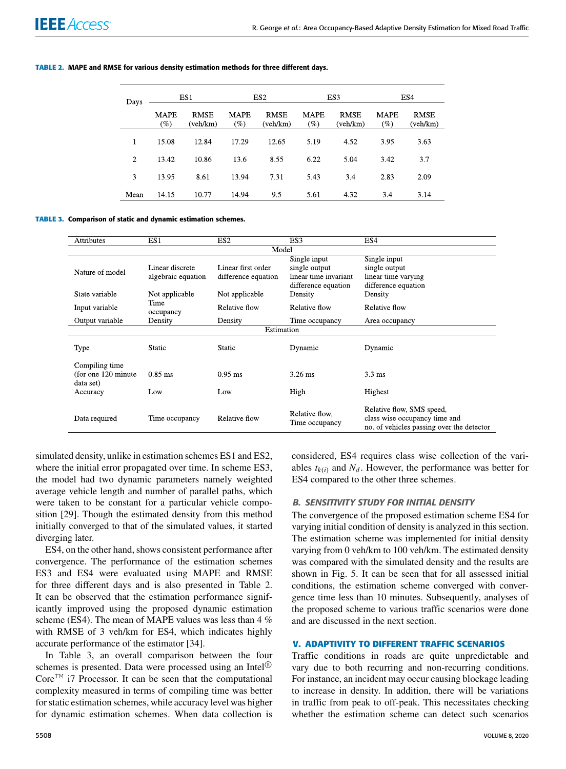| Days           | ES1                |                         | ES <sub>2</sub>    |                         | ES3                   |                         | ES4         |                         |
|----------------|--------------------|-------------------------|--------------------|-------------------------|-----------------------|-------------------------|-------------|-------------------------|
|                | <b>MAPE</b><br>(%) | <b>RMSE</b><br>(veh/km) | <b>MAPE</b><br>(%) | <b>RMSE</b><br>(veh/km) | <b>MAPE</b><br>$(\%)$ | <b>RMSE</b><br>(veh/km) | MAPE<br>(%) | <b>RMSE</b><br>(veh/km) |
|                | 15.08              | 12.84                   | 17.29              | 12.65                   | 5.19                  | 4.52                    | 3.95        | 3.63                    |
| $\overline{c}$ | 13.42              | 10.86                   | 13.6               | 8.55                    | 6.22                  | 5.04                    | 3.42        | 3.7                     |
| 3              | 13.95              | 8.61                    | 13.94              | 7.31                    | 5.43                  | 3.4                     | 2.83        | 2.09                    |
| Mean           | 14.15              | 10.77                   | 14.94              | 9.5                     | 5.61                  | 4.32                    | 3.4         | 3.14                    |

#### **TABLE 2.** MAPE and RMSE for various density estimation methods for three different days.

**TABLE 3.** Comparison of static and dynamic estimation schemes.

| <b>Attributes</b>    | ES1                | ES <sub>2</sub>     | ES3                   | ES4                                       |  |  |  |
|----------------------|--------------------|---------------------|-----------------------|-------------------------------------------|--|--|--|
| Model                |                    |                     |                       |                                           |  |  |  |
|                      |                    |                     | Single input          | Single input                              |  |  |  |
| Nature of model      | Linear discrete    | Linear first order  | single output         | single output                             |  |  |  |
|                      | algebraic equation | difference equation | linear time invariant | linear time varying                       |  |  |  |
|                      |                    |                     | difference equation   | difference equation                       |  |  |  |
| State variable       | Not applicable     | Not applicable      | Density               | Density                                   |  |  |  |
|                      | Time               | Relative flow       | Relative flow         | Relative flow                             |  |  |  |
| Input variable       | occupancy          |                     |                       |                                           |  |  |  |
| Output variable      | Density            | Density             | Time occupancy        | Area occupancy                            |  |  |  |
|                      |                    | Estimation          |                       |                                           |  |  |  |
|                      |                    |                     |                       |                                           |  |  |  |
| Type                 | <b>Static</b>      | <b>Static</b>       | Dynamic               | Dynamic                                   |  |  |  |
|                      |                    |                     |                       |                                           |  |  |  |
| Compiling time       |                    |                     |                       |                                           |  |  |  |
| (for one 120 minute) | $0.85$ ms          | $0.95$ ms           | $3.26$ ms             | $3.3 \text{ ms}$                          |  |  |  |
| data set)            |                    |                     |                       |                                           |  |  |  |
| Accuracy             | Low                | Low                 | High                  | Highest                                   |  |  |  |
|                      |                    |                     |                       |                                           |  |  |  |
|                      |                    |                     | Relative flow,        | Relative flow, SMS speed,                 |  |  |  |
| Data required        | Time occupancy     | Relative flow       | Time occupancy        | class wise occupancy time and             |  |  |  |
|                      |                    |                     |                       | no. of vehicles passing over the detector |  |  |  |

simulated density, unlike in estimation schemes ES1 and ES2, where the initial error propagated over time. In scheme ES3, the model had two dynamic parameters namely weighted average vehicle length and number of parallel paths, which were taken to be constant for a particular vehicle composition [29]. Though the estimated density from this method initially converged to that of the simulated values, it started diverging later.

ES4, on the other hand, shows consistent performance after convergence. The performance of the estimation schemes ES3 and ES4 were evaluated using MAPE and RMSE for three different days and is also presented in Table 2. It can be observed that the estimation performance significantly improved using the proposed dynamic estimation scheme (ES4). The mean of MAPE values was less than 4 % with RMSE of 3 veh/km for ES4, which indicates highly accurate performance of the estimator [34].

In Table 3, an overall comparison between the four schemes is presented. Data were processed using an Intel<sup>®</sup>  $\text{Core}^{\text{TM}}$  i7 Processor. It can be seen that the computational complexity measured in terms of compiling time was better for static estimation schemes, while accuracy level was higher for dynamic estimation schemes. When data collection is considered, ES4 requires class wise collection of the variables  $t_{k(i)}$  and  $N_d$ . However, the performance was better for ES4 compared to the other three schemes.

## B. SENSITIVITY STUDY FOR INITIAL DENSITY

The convergence of the proposed estimation scheme ES4 for varying initial condition of density is analyzed in this section. The estimation scheme was implemented for initial density varying from 0 veh/km to 100 veh/km. The estimated density was compared with the simulated density and the results are shown in Fig. 5. It can be seen that for all assessed initial conditions, the estimation scheme converged with convergence time less than 10 minutes. Subsequently, analyses of the proposed scheme to various traffic scenarios were done and are discussed in the next section.

#### **V. ADAPTIVITY TO DIFFERENT TRAFFIC SCENARIOS**

Traffic conditions in roads are quite unpredictable and vary due to both recurring and non-recurring conditions. For instance, an incident may occur causing blockage leading to increase in density. In addition, there will be variations in traffic from peak to off-peak. This necessitates checking whether the estimation scheme can detect such scenarios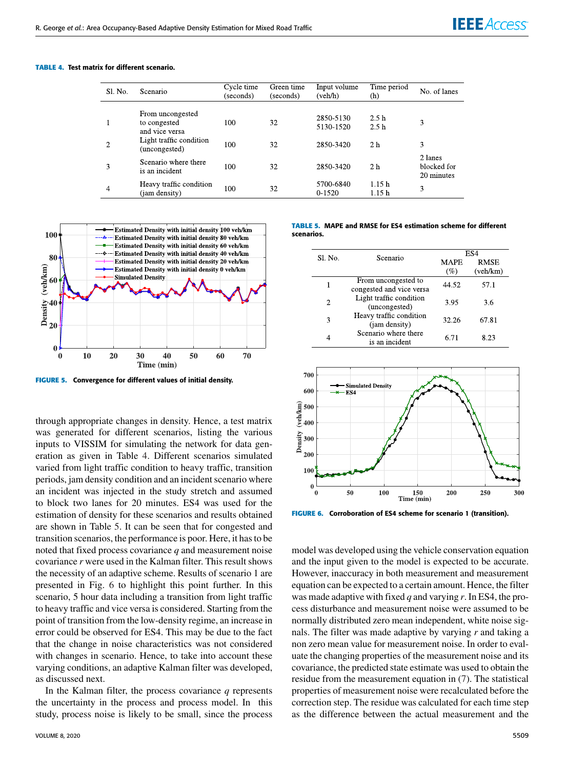**TABLE 4.** Test matrix for different scenario.

| Sl. No. | Scenario                                           | Cycle time<br>(seconds) | Green time<br>(seconds) | Input volume<br>(veh/h) | Time period<br>(h) | No. of lanes                         |
|---------|----------------------------------------------------|-------------------------|-------------------------|-------------------------|--------------------|--------------------------------------|
|         | From uncongested<br>to congested<br>and vice versa | 100                     | 32                      | 2850-5130<br>5130-1520  | 2.5h<br>2.5h       | 3                                    |
| 2       | Light traffic condition<br>(uncongested)           | 100                     | 32                      | 2850-3420               | 2 <sub>h</sub>     | 3                                    |
| 3       | Scenario where there<br>is an incident             | 100                     | 32                      | 2850-3420               | 2 h                | 2 lanes<br>blocked for<br>20 minutes |
| 4       | Heavy traffic condition<br>(jam density)           | 100                     | 32                      | 5700-6840<br>$0-1520$   | 1.15h<br>1.15h     | 3                                    |



**FIGURE 5.** Convergence for different values of initial density.

through appropriate changes in density. Hence, a test matrix was generated for different scenarios, listing the various inputs to VISSIM for simulating the network for data generation as given in Table 4. Different scenarios simulated varied from light traffic condition to heavy traffic, transition periods, jam density condition and an incident scenario where an incident was injected in the study stretch and assumed to block two lanes for 20 minutes. ES4 was used for the estimation of density for these scenarios and results obtained are shown in Table 5. It can be seen that for congested and transition scenarios, the performance is poor. Here, it has to be noted that fixed process covariance *q* and measurement noise covariance *r* were used in the Kalman filter. This result shows the necessity of an adaptive scheme. Results of scenario 1 are presented in Fig. 6 to highlight this point further. In this scenario, 5 hour data including a transition from light traffic to heavy traffic and vice versa is considered. Starting from the point of transition from the low-density regime, an increase in error could be observed for ES4. This may be due to the fact that the change in noise characteristics was not considered with changes in scenario. Hence, to take into account these varying conditions, an adaptive Kalman filter was developed, as discussed next.

In the Kalman filter, the process covariance *q* represents the uncertainty in the process and process model. In this study, process noise is likely to be small, since the process **TABLE 5.** MAPE and RMSE for ES4 estimation scheme for different scenarios.

| <b>SL No.</b> | Scenario                                        | ES4                   |                         |  |
|---------------|-------------------------------------------------|-----------------------|-------------------------|--|
|               |                                                 | <b>MAPE</b><br>$(\%)$ | <b>RMSE</b><br>(veh/km) |  |
| 1             | From uncongested to<br>congested and vice versa | 44.52                 | 57.1                    |  |
| 2             | Light traffic condition<br>(uncongested)        | 3.95                  | 3.6                     |  |
| 3             | Heavy traffic condition<br>(jam density)        | 32.26                 | 67.81                   |  |
| 4             | Scenario where there<br>is an incident          | 6.71                  | 8.23                    |  |



**FIGURE 6.** Corroboration of ES4 scheme for scenario 1 (transition).

model was developed using the vehicle conservation equation and the input given to the model is expected to be accurate. However, inaccuracy in both measurement and measurement equation can be expected to a certain amount. Hence, the filter was made adaptive with fixed *q* and varying *r*. In ES4, the process disturbance and measurement noise were assumed to be normally distributed zero mean independent, white noise signals. The filter was made adaptive by varying *r* and taking a non zero mean value for measurement noise. In order to evaluate the changing properties of the measurement noise and its covariance, the predicted state estimate was used to obtain the residue from the measurement equation in (7). The statistical properties of measurement noise were recalculated before the correction step. The residue was calculated for each time step as the difference between the actual measurement and the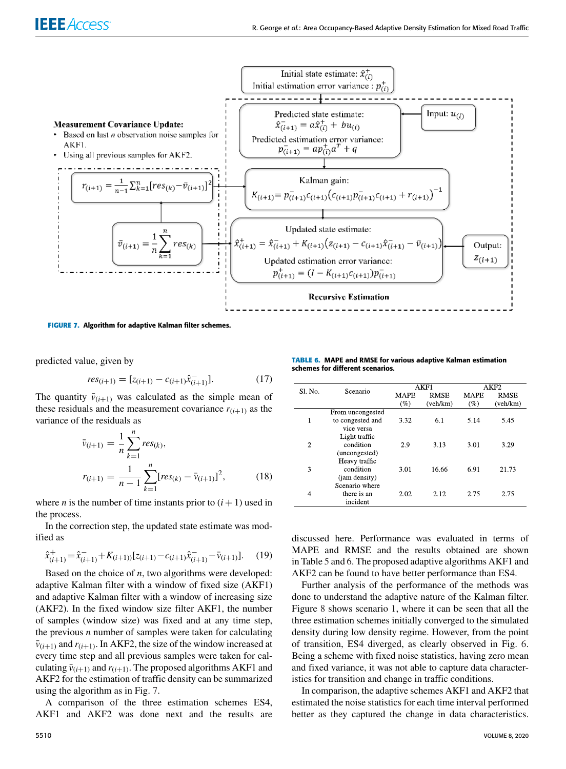

**FIGURE 7.** Algorithm for adaptive Kalman filter schemes.

predicted value, given by

$$
res_{(i+1)} = [z_{(i+1)} - c_{(i+1)}\hat{x}_{(i+1)}^{-}].
$$
\n(17)

The quantity  $\bar{v}_{(i+1)}$  was calculated as the simple mean of these residuals and the measurement covariance  $r(i+1)$  as the variance of the residuals as

$$
\bar{v}_{(i+1)} = \frac{1}{n} \sum_{k=1}^{n} res_{(k)},
$$
\n
$$
r_{(i+1)} = \frac{1}{n-1} \sum_{k=1}^{n} [res_{(k)} - \bar{v}_{(i+1)}]^2,
$$
\n(18)

where *n* is the number of time instants prior to  $(i + 1)$  used in the process.

In the correction step, the updated state estimate was modified as

$$
\hat{x}_{(i+1)}^+ = \hat{x}_{(i+1)}^- + K_{(i+1)} [z_{(i+1)} - c_{(i+1)} \hat{x}_{(i+1)}^- - \bar{v}_{(i+1)}].
$$
 (19)

Based on the choice of *n*, two algorithms were developed: adaptive Kalman filter with a window of fixed size (AKF1) and adaptive Kalman filter with a window of increasing size (AKF2). In the fixed window size filter AKF1, the number of samples (window size) was fixed and at any time step, the previous *n* number of samples were taken for calculating  $\bar{v}_{(i+1)}$  and  $r_{(i+1)}$ . In AKF2, the size of the window increased at every time step and all previous samples were taken for calculating  $\bar{v}_{(i+1)}$  and  $r_{(i+1)}$ . The proposed algorithms AKF1 and AKF2 for the estimation of traffic density can be summarized using the algorithm as in Fig. 7.

A comparison of the three estimation schemes ES4, AKF1 and AKF2 was done next and the results are

**TABLE 6.** MAPE and RMSE for various adaptive Kalman estimation schemes for different scenarios.

| S1. No.        | Scenario         |             | AKF1        | AKF2        |             |
|----------------|------------------|-------------|-------------|-------------|-------------|
|                |                  | <b>MAPE</b> | <b>RMSE</b> | <b>MAPE</b> | <b>RMSE</b> |
|                |                  | (%          | (veh/km)    | (%)         | (veh/km)    |
|                | From uncongested |             |             |             |             |
| 1              | to congested and | 3.32        | 6.1         | 5.14        | 5.45        |
|                | vice versa       |             |             |             |             |
|                | Light traffic    |             |             |             |             |
| $\overline{2}$ | condition        | 2.9         | 3.13        | 3.01        | 3.29        |
|                | (uncongested)    |             |             |             |             |
|                | Heavy traffic    |             |             |             |             |
| 3              | condition        | 3.01        | 16.66       | 6.91        | 21.73       |
|                | (jam density)    |             |             |             |             |
|                | Scenario where   |             |             |             |             |
| 4              | there is an      | 2.02        | 2.12        | 2.75        | 2.75        |
|                | incident         |             |             |             |             |

discussed here. Performance was evaluated in terms of MAPE and RMSE and the results obtained are shown in Table 5 and 6. The proposed adaptive algorithms AKF1 and AKF2 can be found to have better performance than ES4.

Further analysis of the performance of the methods was done to understand the adaptive nature of the Kalman filter. Figure 8 shows scenario 1, where it can be seen that all the three estimation schemes initially converged to the simulated density during low density regime. However, from the point of transition, ES4 diverged, as clearly observed in Fig. 6. Being a scheme with fixed noise statistics, having zero mean and fixed variance, it was not able to capture data characteristics for transition and change in traffic conditions.

In comparison, the adaptive schemes AKF1 and AKF2 that estimated the noise statistics for each time interval performed better as they captured the change in data characteristics.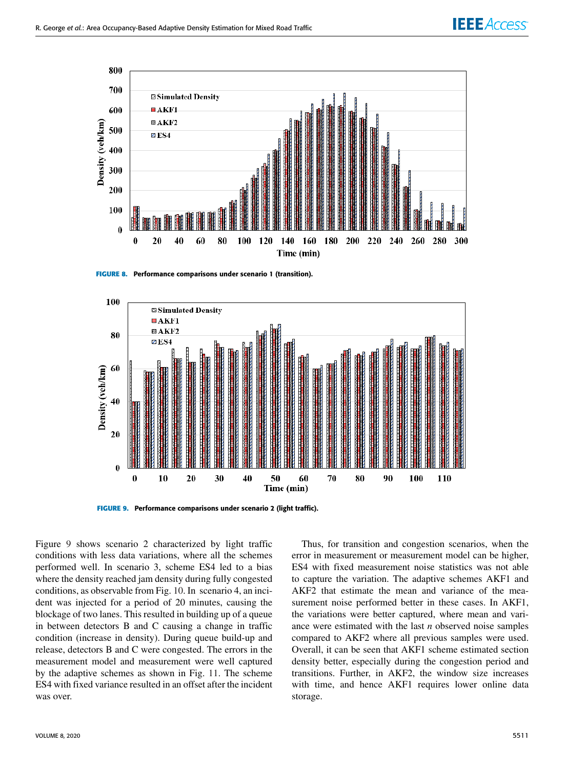

**FIGURE 8.** Performance comparisons under scenario 1 (transition).



**FIGURE 9.** Performance comparisons under scenario 2 (light traffic).

Figure 9 shows scenario 2 characterized by light traffic conditions with less data variations, where all the schemes performed well. In scenario 3, scheme ES4 led to a bias where the density reached jam density during fully congested conditions, as observable from Fig. 10. In scenario 4, an incident was injected for a period of 20 minutes, causing the blockage of two lanes. This resulted in building up of a queue in between detectors B and C causing a change in traffic condition (increase in density). During queue build-up and release, detectors B and C were congested. The errors in the measurement model and measurement were well captured by the adaptive schemes as shown in Fig. 11. The scheme ES4 with fixed variance resulted in an offset after the incident was over.

Thus, for transition and congestion scenarios, when the error in measurement or measurement model can be higher, ES4 with fixed measurement noise statistics was not able to capture the variation. The adaptive schemes AKF1 and AKF2 that estimate the mean and variance of the measurement noise performed better in these cases. In AKF1, the variations were better captured, where mean and variance were estimated with the last *n* observed noise samples compared to AKF2 where all previous samples were used. Overall, it can be seen that AKF1 scheme estimated section density better, especially during the congestion period and transitions. Further, in AKF2, the window size increases with time, and hence AKF1 requires lower online data storage.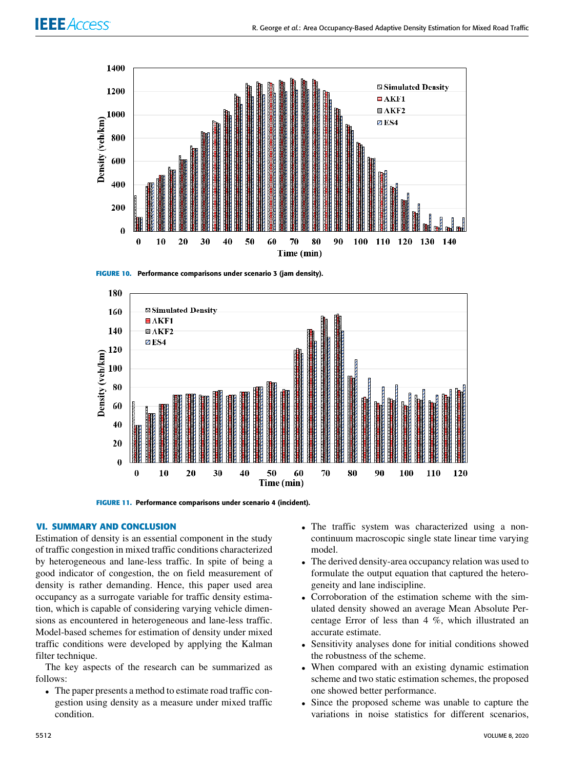









#### **VI. SUMMARY AND CONCLUSION**

Estimation of density is an essential component in the study of traffic congestion in mixed traffic conditions characterized by heterogeneous and lane-less traffic. In spite of being a good indicator of congestion, the on field measurement of density is rather demanding. Hence, this paper used area occupancy as a surrogate variable for traffic density estimation, which is capable of considering varying vehicle dimensions as encountered in heterogeneous and lane-less traffic. Model-based schemes for estimation of density under mixed traffic conditions were developed by applying the Kalman filter technique.

The key aspects of the research can be summarized as follows:

• The paper presents a method to estimate road traffic congestion using density as a measure under mixed traffic condition.

- The traffic system was characterized using a noncontinuum macroscopic single state linear time varying model.
- The derived density-area occupancy relation was used to formulate the output equation that captured the heterogeneity and lane indiscipline.
- Corroboration of the estimation scheme with the simulated density showed an average Mean Absolute Percentage Error of less than 4 %, which illustrated an accurate estimate.
- Sensitivity analyses done for initial conditions showed the robustness of the scheme.
- When compared with an existing dynamic estimation scheme and two static estimation schemes, the proposed one showed better performance.
- Since the proposed scheme was unable to capture the variations in noise statistics for different scenarios,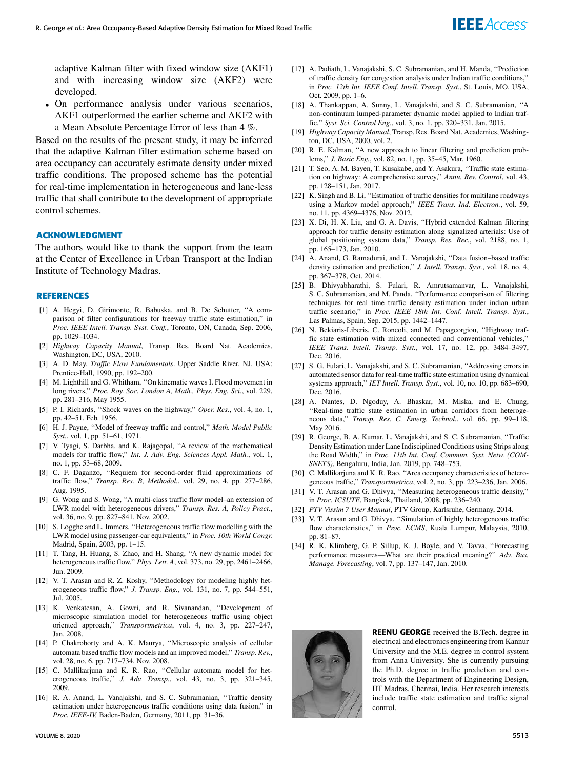adaptive Kalman filter with fixed window size (AKF1) and with increasing window size (AKF2) were developed.

• On performance analysis under various scenarios, AKF1 outperformed the earlier scheme and AKF2 with a Mean Absolute Percentage Error of less than 4 %.

Based on the results of the present study, it may be inferred that the adaptive Kalman filter estimation scheme based on area occupancy can accurately estimate density under mixed traffic conditions. The proposed scheme has the potential for real-time implementation in heterogeneous and lane-less traffic that shall contribute to the development of appropriate control schemes.

#### **ACKNOWLEDGMENT**

The authors would like to thank the support from the team at the Center of Excellence in Urban Transport at the Indian Institute of Technology Madras.

#### **REFERENCES**

- [1] A. Hegyi, D. Girimonte, R. Babuska, and B. De Schutter, ''A comparison of filter configurations for freeway traffic state estimation,'' in *Proc. IEEE Intell. Transp. Syst. Conf.*, Toronto, ON, Canada, Sep. 2006, pp. 1029–1034.
- [2] *Highway Capacity Manual*, Transp. Res. Board Nat. Academies, Washington, DC, USA, 2010.
- [3] A. D. May, *Traffic Flow Fundamentals*. Upper Saddle River, NJ, USA: Prentice-Hall, 1990, pp. 192–200.
- [4] M. Lighthill and G. Whitham, "On kinematic waves I. Flood movement in long rivers,'' *Proc. Roy. Soc. London A, Math., Phys. Eng. Sci.*, vol. 229, pp. 281–316, May 1955.
- [5] P. I. Richards, ''Shock waves on the highway,'' *Oper. Res.*, vol. 4, no. 1, pp. 42–51, Feb. 1956.
- [6] H. J. Payne, ''Model of freeway traffic and control,'' *Math. Model Public Syst.*, vol. 1, pp. 51–61, 1971.
- [7] V. Tyagi, S. Darbha, and K. Rajagopal, ''A review of the mathematical models for traffic flow,'' *Int. J. Adv. Eng. Sciences Appl. Math.*, vol. 1, no. 1, pp. 53–68, 2009.
- [8] C. F. Daganzo, ''Requiem for second-order fluid approximations of traffic flow,'' *Transp. Res. B, Methodol.*, vol. 29, no. 4, pp. 277–286, Aug. 1995.
- [9] G. Wong and S. Wong, ''A multi-class traffic flow model–an extension of LWR model with heterogeneous drivers,'' *Transp. Res. A, Policy Pract.*, vol. 36, no. 9, pp. 827–841, Nov. 2002.
- [10] S. Logghe and L. Immers, "Heterogeneous traffic flow modelling with the LWR model using passenger-car equivalents,'' in *Proc. 10th World Congr.* Madrid, Spain, 2003, pp. 1–15.
- [11] T. Tang, H. Huang, S. Zhao, and H. Shang, "A new dynamic model for heterogeneous traffic flow,'' *Phys. Lett. A*, vol. 373, no. 29, pp. 2461–2466, Jun. 2009.
- [12] V. T. Arasan and R. Z. Koshy, ''Methodology for modeling highly heterogeneous traffic flow,'' *J. Transp. Eng.*, vol. 131, no. 7, pp. 544–551, Jul. 2005.
- [13] K. Venkatesan, A. Gowri, and R. Sivanandan, ''Development of microscopic simulation model for heterogeneous traffic using object oriented approach,'' *Transportmetrica*, vol. 4, no. 3, pp. 227–247, Jan. 2008.
- [14] P. Chakroborty and A. K. Maurya, "Microscopic analysis of cellular automata based traffic flow models and an improved model,'' *Transp. Rev.*, vol. 28, no. 6, pp. 717–734, Nov. 2008.
- [15] C. Mallikarjuna and K. R. Rao, "Cellular automata model for heterogeneous traffic,'' *J. Adv. Transp.*, vol. 43, no. 3, pp. 321–345, 2009.
- [16] R. A. Anand, L. Vanajakshi, and S. C. Subramanian, "Traffic density estimation under heterogeneous traffic conditions using data fusion,'' in *Proc. IEEE-IV,* Baden-Baden, Germany, 2011, pp. 31–36.
- [17] A. Padiath, L. Vanajakshi, S. C. Subramanian, and H. Manda, ''Prediction of traffic density for congestion analysis under Indian traffic conditions,'' in *Proc. 12th Int. IEEE Conf. Intell. Transp. Syst.*, St. Louis, MO, USA, Oct. 2009, pp. 1–6.
- [18] A. Thankappan, A. Sunny, L. Vanajakshi, and S. C. Subramanian, "A non-continuum lumped-parameter dynamic model applied to Indian traffic,'' *Syst. Sci. Control Eng.*, vol. 3, no. 1, pp. 320–331, Jan. 2015.
- [19] *Highway Capacity Manual*, Transp. Res. Board Nat. Academies, Washington, DC, USA, 2000, vol. 2.
- [20] R. E. Kalman, ''A new approach to linear filtering and prediction problems,'' *J. Basic Eng.*, vol. 82, no. 1, pp. 35–45, Mar. 1960.
- [21] T. Seo, A. M. Bayen, T. Kusakabe, and Y. Asakura, ''Traffic state estimation on highway: A comprehensive survey,'' *Annu. Rev. Control*, vol. 43, pp. 128–151, Jan. 2017.
- [22] K. Singh and B. Li, "Estimation of traffic densities for multilane roadways using a Markov model approach,'' *IEEE Trans. Ind. Electron.*, vol. 59, no. 11, pp. 4369–4376, Nov. 2012.
- [23] X. Di, H. X. Liu, and G. A. Davis, "Hybrid extended Kalman filtering approach for traffic density estimation along signalized arterials: Use of global positioning system data,'' *Transp. Res. Rec.*, vol. 2188, no. 1, pp. 165–173, Jan. 2010.
- [24] A. Anand, G. Ramadurai, and L. Vanajakshi, ''Data fusion–based traffic density estimation and prediction,'' *J. Intell. Transp. Syst.*, vol. 18, no. 4, pp. 367–378, Oct. 2014.
- [25] B. Dhivyabharathi, S. Fulari, R. Amrutsamanvar, L. Vanajakshi, S. C. Subramanian, and M. Panda, ''Performance comparison of filtering techniques for real time traffic density estimation under indian urban traffic scenario,'' in *Proc. IEEE 18th Int. Conf. Intell. Transp. Syst.*, Las Palmas, Spain, Sep. 2015, pp. 1442–1447.
- [26] N. Bekiaris-Liberis, C. Roncoli, and M. Papageorgiou, "Highway traffic state estimation with mixed connected and conventional vehicles,'' *IEEE Trans. Intell. Transp. Syst.*, vol. 17, no. 12, pp. 3484–3497, Dec. 2016.
- [27] S. G. Fulari, L. Vanajakshi, and S. C. Subramanian, "Addressing errors in automated sensor data for real-time traffic state estimation using dynamical systems approach,'' *IET Intell. Transp. Syst.*, vol. 10, no. 10, pp. 683–690, Dec. 2016.
- [28] A. Nantes, D. Ngoduy, A. Bhaskar, M. Miska, and E. Chung, ''Real-time traffic state estimation in urban corridors from heterogeneous data,'' *Transp. Res. C, Emerg. Technol.*, vol. 66, pp. 99–118, May 2016.
- [29] R. George, B. A. Kumar, L. Vanajakshi, and S. C. Subramanian, ''Traffic Density Estimation under Lane Indisciplined Conditions using Strips along the Road Width,'' in *Proc. 11th Int. Conf. Commun. Syst. Netw. (COM-SNETS)*, Bengaluru, India, Jan. 2019, pp. 748–753.
- [30] C. Mallikarjuna and K. R. Rao, "Area occupancy characteristics of heterogeneous traffic,'' *Transportmetrica*, vol. 2, no. 3, pp. 223–236, Jan. 2006.
- [31] V. T. Arasan and G. Dhivya, "Measuring heterogeneous traffic density," in *Proc. ICSUTE*, Bangkok, Thailand, 2008, pp. 236–240.
- [32] *PTV Vissim 7 User Manual*, PTV Group, Karlsruhe, Germany, 2014.
- [33] V. T. Arasan and G. Dhivya, "Simulation of highly heterogeneous traffic flow characteristics,'' in *Proc. ECMS*, Kuala Lumpur, Malaysia, 2010, pp. 81–87.
- [34] R. K. Klimberg, G. P. Sillup, K. J. Boyle, and V. Tavva, "Forecasting performance measures—What are their practical meaning?'' *Adv. Bus. Manage. Forecasting*, vol. 7, pp. 137–147, Jan. 2010.



REENU GEORGE received the B.Tech. degree in electrical and electronics engineering from Kannur University and the M.E. degree in control system from Anna University. She is currently pursuing the Ph.D. degree in traffic prediction and controls with the Department of Engineering Design, IIT Madras, Chennai, India. Her research interests include traffic state estimation and traffic signal control.